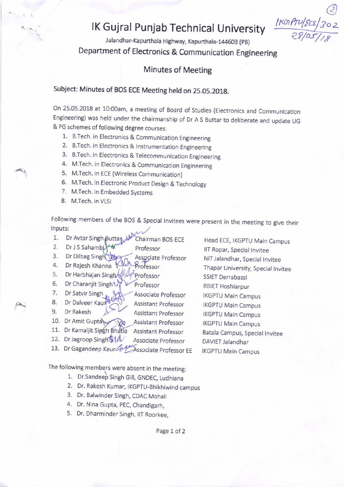## IK Gujral Punjab Technical University

Jalandhar-Kapurthala Highway, Kapurthala-144603 (PB) Department of Electronics & Communication Engineering

## Minutes of Meeting

## Subject: Minutes of BOS ECE Meeting held on 25.05.201g.

On 25.05.2018 at 10:00am, a meeting of Board of Studies (Electronics and Communication Engineering) was held under the chairmanship of Dr A s Euttar to deliberate and update uG & PG schemes of following degree courses:

- 1. B.Tech. in Electronics & Communication Engineering
- 2. B.Tech. in Electronics & Instrumentation Engineering
- 3. B.Tech. in Electronics & Telecommunication Engineering
- 4. M.Tech. in Electronics & Communication Engineering
- 5. M.Tech. in ECE (Wjreless Communication)
- 6. M.Tech. in Electronic product Design & Technology
- 7. M.Tech. in Embedded Systems
- 8. M.Tech. in VISI

Following members of the BOS & Special Invitees were present in the meeting to give their inputs:

- 1. Dr Avtar Singh Buttan All Chairman BOS ECE Head ECE, IKGPTU Main Campus<br>2. Dr J S Sahambi All Professor HT Pener Sessible in
- Dr J S Sahambi
- 3. Dr Dilbag Singh 4. Dr Dilbag Singh Way Associate Professor<br>4. Dr Rajesh Khanna Kall Professor<br>5. Dr Harbhajan Singh All Professor
- 
- 
- 6. Dr Charanjit Singh $\bigvee_{n} V$  Professor
- 7. Dr Satvir Singh WA Associate Professor
- 8. Dr Dalveer Kaum Compare Assistant Professor
- 9. Dr Rakesh  $A \rightarrow B$  Assistant Professor
- 10. Dr Amit Gupta $\sqrt{\sqrt{2}}$  Assistant Professor
- 11. Dr Kamaljit Singh Bhatia Assistant Professor
- 12. Dr Jagroop Singh MA Associate Professor
- 13. Dr Gagandeep Kaur Curren Associate Professor EE

The following members were absent in the meeting:

- 1. Dr.Sandeep Singh Gill, GNDEC, Ludhiana
- 2. Dr. Rakesh Kumar, IKGpTu\_Bhikhiwind campus
- 3. Dr. Ealwinder Singh, CDAC Mohali
- 4, Dr. Nina Gupta, pEC, Chandigarh,
- 5. Dr. Dharminder Singh, IIT Roorkee,

llT Ropar, Special Invitee NIT Jaiandhar, Special Invjtee Thapar University, Special Invitee SSIET Derrabassi RBIET Hoshiarpur IKGPTU Main Campus IKGPTU Main Campus IKGPTU Main Campus IKGPTU Main Campus Eatala Campus, Special Invitee DAVIET Jalandhar IKGPTU Main Campus